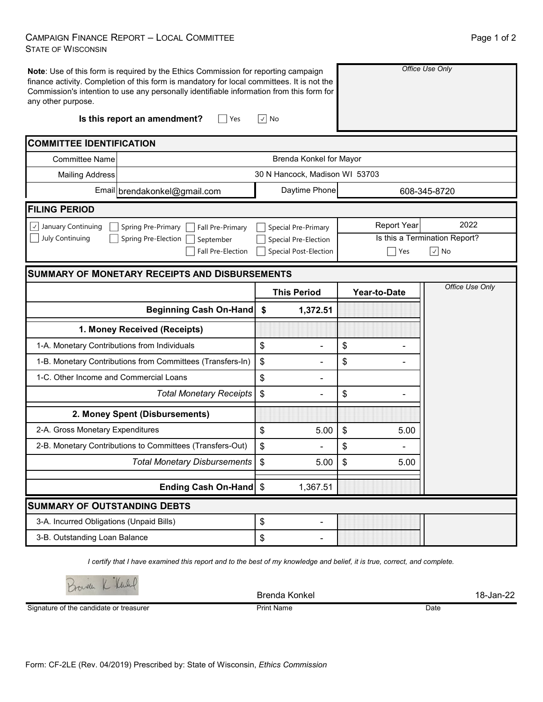## CAMPAIGN FINANCE REPORT – LOCAL COMMITTEE STATE OF WISCONSIN

| any other purpose.                           | Note: Use of this form is required by the Ethics Commission for reporting campaign<br>finance activity. Completion of this form is mandatory for local committees. It is not the<br>Commission's intention to use any personally identifiable information from this form for |                                | Office Use Only               |                 |  |  |  |  |  |  |  |
|----------------------------------------------|------------------------------------------------------------------------------------------------------------------------------------------------------------------------------------------------------------------------------------------------------------------------------|--------------------------------|-------------------------------|-----------------|--|--|--|--|--|--|--|
|                                              | Is this report an amendment?<br>Yes                                                                                                                                                                                                                                          | $\vee$<br>No                   |                               |                 |  |  |  |  |  |  |  |
| <b>COMMITTEE IDENTIFICATION</b>              |                                                                                                                                                                                                                                                                              |                                |                               |                 |  |  |  |  |  |  |  |
| <b>Committee Name</b>                        | Brenda Konkel for Mayor                                                                                                                                                                                                                                                      |                                |                               |                 |  |  |  |  |  |  |  |
| <b>Mailing Address</b>                       | 30 N Hancock, Madison WI 53703                                                                                                                                                                                                                                               |                                |                               |                 |  |  |  |  |  |  |  |
|                                              | Email brendakonkel@gmail.com                                                                                                                                                                                                                                                 | Daytime Phone                  | 608-345-8720                  |                 |  |  |  |  |  |  |  |
| <b>FILING PERIOD</b>                         |                                                                                                                                                                                                                                                                              |                                |                               |                 |  |  |  |  |  |  |  |
| $\vee$ January Continuing                    | Spring Pre-Primary<br>Fall Pre-Primary                                                                                                                                                                                                                                       | Special Pre-Primary            | Report Year                   | 2022            |  |  |  |  |  |  |  |
| July Continuing                              | Spring Pre-Election<br>September                                                                                                                                                                                                                                             | Special Pre-Election           | Is this a Termination Report? |                 |  |  |  |  |  |  |  |
|                                              | <b>Fall Pre-Election</b>                                                                                                                                                                                                                                                     | <b>Special Post-Election</b>   | Yes                           | $\sqrt{ }$ No   |  |  |  |  |  |  |  |
|                                              | <b>SUMMARY OF MONETARY RECEIPTS AND DISBURSEMENTS</b>                                                                                                                                                                                                                        |                                |                               |                 |  |  |  |  |  |  |  |
|                                              |                                                                                                                                                                                                                                                                              | <b>This Period</b>             | <b>Year-to-Date</b>           | Office Use Only |  |  |  |  |  |  |  |
|                                              | <b>Beginning Cash On-Hand</b>                                                                                                                                                                                                                                                | \$<br>1,372.51                 |                               |                 |  |  |  |  |  |  |  |
|                                              | 1. Money Received (Receipts)                                                                                                                                                                                                                                                 |                                |                               |                 |  |  |  |  |  |  |  |
|                                              |                                                                                                                                                                                                                                                                              |                                |                               |                 |  |  |  |  |  |  |  |
| 1-A. Monetary Contributions from Individuals |                                                                                                                                                                                                                                                                              | \$                             | \$                            |                 |  |  |  |  |  |  |  |
|                                              | 1-B. Monetary Contributions from Committees (Transfers-In)                                                                                                                                                                                                                   | \$                             | \$                            |                 |  |  |  |  |  |  |  |
| 1-C. Other Income and Commercial Loans       |                                                                                                                                                                                                                                                                              | \$                             |                               |                 |  |  |  |  |  |  |  |
|                                              | <b>Total Monetary Receipts</b>                                                                                                                                                                                                                                               | \$                             | \$                            |                 |  |  |  |  |  |  |  |
|                                              | 2. Money Spent (Disbursements)                                                                                                                                                                                                                                               |                                |                               |                 |  |  |  |  |  |  |  |
| 2-A. Gross Monetary Expenditures             |                                                                                                                                                                                                                                                                              | \$<br>5.00                     | \$<br>5.00                    |                 |  |  |  |  |  |  |  |
|                                              | 2-B. Monetary Contributions to Committees (Transfers-Out)                                                                                                                                                                                                                    | \$                             | \$                            |                 |  |  |  |  |  |  |  |
|                                              | <b>Total Monetary Disbursements</b>                                                                                                                                                                                                                                          | 5.00<br>\$                     | 5.00<br>\$                    |                 |  |  |  |  |  |  |  |
|                                              | Ending Cash On-Hand \$                                                                                                                                                                                                                                                       | 1,367.51                       |                               |                 |  |  |  |  |  |  |  |
| <b>SUMMARY OF OUTSTANDING DEBTS</b>          |                                                                                                                                                                                                                                                                              |                                |                               |                 |  |  |  |  |  |  |  |
| 3-A. Incurred Obligations (Unpaid Bills)     |                                                                                                                                                                                                                                                                              | \$<br>$\overline{\phantom{a}}$ |                               |                 |  |  |  |  |  |  |  |

*I certify that I have examined this report and to the best of my knowledge and belief, it is true, correct, and complete.*

Brenda Konkel 18-Jan-22

Signature of the candidate or treasurer

Print Name Date